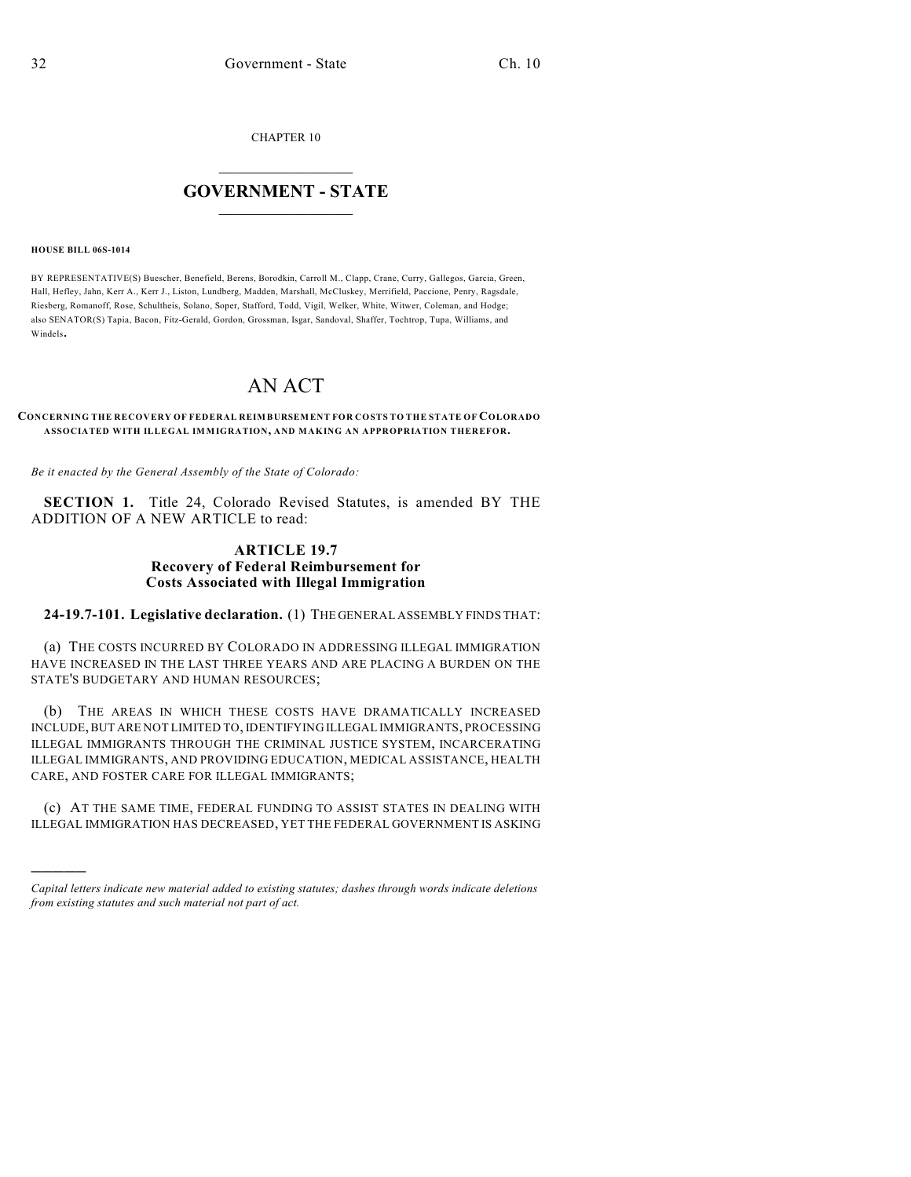CHAPTER 10

## $\overline{\phantom{a}}$  . The set of the set of the set of the set of the set of the set of the set of the set of the set of the set of the set of the set of the set of the set of the set of the set of the set of the set of the set o **GOVERNMENT - STATE**  $\_$

#### **HOUSE BILL 06S-1014**

)))))

BY REPRESENTATIVE(S) Buescher, Benefield, Berens, Borodkin, Carroll M., Clapp, Crane, Curry, Gallegos, Garcia, Green, Hall, Hefley, Jahn, Kerr A., Kerr J., Liston, Lundberg, Madden, Marshall, McCluskey, Merrifield, Paccione, Penry, Ragsdale, Riesberg, Romanoff, Rose, Schultheis, Solano, Soper, Stafford, Todd, Vigil, Welker, White, Witwer, Coleman, and Hodge; also SENATOR(S) Tapia, Bacon, Fitz-Gerald, Gordon, Grossman, Isgar, Sandoval, Shaffer, Tochtrop, Tupa, Williams, and Windels.

# AN ACT

#### **CONCERNING THE RECOVERY OF FEDERAL REIMBURSEMENT FOR COSTS TO THE STATE OF COLORADO ASSOCIATED WITH ILLEGAL IMMIGRATION, AND MAKING AN APPROPRIATION THEREFOR.**

*Be it enacted by the General Assembly of the State of Colorado:*

**SECTION 1.** Title 24, Colorado Revised Statutes, is amended BY THE ADDITION OF A NEW ARTICLE to read:

### **ARTICLE 19.7 Recovery of Federal Reimbursement for Costs Associated with Illegal Immigration**

**24-19.7-101. Legislative declaration.** (1) THE GENERAL ASSEMBLY FINDS THAT:

(a) THE COSTS INCURRED BY COLORADO IN ADDRESSING ILLEGAL IMMIGRATION HAVE INCREASED IN THE LAST THREE YEARS AND ARE PLACING A BURDEN ON THE STATE'S BUDGETARY AND HUMAN RESOURCES;

(b) THE AREAS IN WHICH THESE COSTS HAVE DRAMATICALLY INCREASED INCLUDE, BUT ARE NOT LIMITED TO, IDENTIFYING ILLEGAL IMMIGRANTS, PROCESSING ILLEGAL IMMIGRANTS THROUGH THE CRIMINAL JUSTICE SYSTEM, INCARCERATING ILLEGAL IMMIGRANTS, AND PROVIDING EDUCATION, MEDICAL ASSISTANCE, HEALTH CARE, AND FOSTER CARE FOR ILLEGAL IMMIGRANTS;

(c) AT THE SAME TIME, FEDERAL FUNDING TO ASSIST STATES IN DEALING WITH ILLEGAL IMMIGRATION HAS DECREASED, YET THE FEDERAL GOVERNMENT IS ASKING

*Capital letters indicate new material added to existing statutes; dashes through words indicate deletions from existing statutes and such material not part of act.*